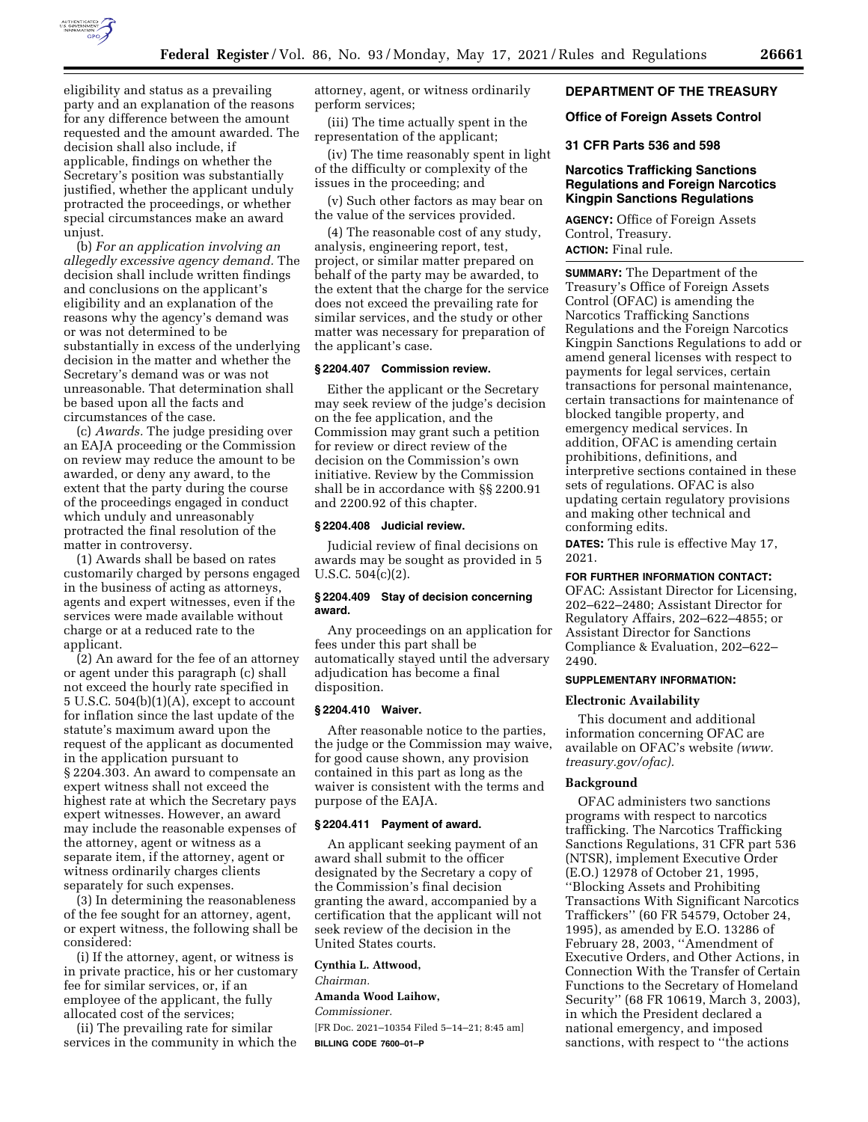

eligibility and status as a prevailing party and an explanation of the reasons for any difference between the amount requested and the amount awarded. The decision shall also include, if applicable, findings on whether the Secretary's position was substantially justified, whether the applicant unduly protracted the proceedings, or whether special circumstances make an award unjust.

(b) *For an application involving an allegedly excessive agency demand.* The decision shall include written findings and conclusions on the applicant's eligibility and an explanation of the reasons why the agency's demand was or was not determined to be substantially in excess of the underlying decision in the matter and whether the Secretary's demand was or was not unreasonable. That determination shall be based upon all the facts and circumstances of the case.

(c) *Awards.* The judge presiding over an EAJA proceeding or the Commission on review may reduce the amount to be awarded, or deny any award, to the extent that the party during the course of the proceedings engaged in conduct which unduly and unreasonably protracted the final resolution of the matter in controversy.

(1) Awards shall be based on rates customarily charged by persons engaged in the business of acting as attorneys, agents and expert witnesses, even if the services were made available without charge or at a reduced rate to the applicant.

(2) An award for the fee of an attorney or agent under this paragraph (c) shall not exceed the hourly rate specified in 5 U.S.C. 504(b)(1)(A), except to account for inflation since the last update of the statute's maximum award upon the request of the applicant as documented in the application pursuant to § 2204.303. An award to compensate an expert witness shall not exceed the highest rate at which the Secretary pays expert witnesses. However, an award may include the reasonable expenses of the attorney, agent or witness as a separate item, if the attorney, agent or witness ordinarily charges clients separately for such expenses.

(3) In determining the reasonableness of the fee sought for an attorney, agent, or expert witness, the following shall be considered:

(i) If the attorney, agent, or witness is in private practice, his or her customary fee for similar services, or, if an employee of the applicant, the fully allocated cost of the services;

(ii) The prevailing rate for similar services in the community in which the attorney, agent, or witness ordinarily perform services;

(iii) The time actually spent in the representation of the applicant;

(iv) The time reasonably spent in light of the difficulty or complexity of the issues in the proceeding; and

(v) Such other factors as may bear on the value of the services provided.

(4) The reasonable cost of any study, analysis, engineering report, test, project, or similar matter prepared on behalf of the party may be awarded, to the extent that the charge for the service does not exceed the prevailing rate for similar services, and the study or other matter was necessary for preparation of the applicant's case.

#### **§ 2204.407 Commission review.**

Either the applicant or the Secretary may seek review of the judge's decision on the fee application, and the Commission may grant such a petition for review or direct review of the decision on the Commission's own initiative. Review by the Commission shall be in accordance with §§ 2200.91 and 2200.92 of this chapter.

#### **§ 2204.408 Judicial review.**

Judicial review of final decisions on awards may be sought as provided in 5 U.S.C. 504(c)(2).

#### **§ 2204.409 Stay of decision concerning award.**

Any proceedings on an application for fees under this part shall be automatically stayed until the adversary adjudication has become a final disposition.

#### **§ 2204.410 Waiver.**

After reasonable notice to the parties, the judge or the Commission may waive, for good cause shown, any provision contained in this part as long as the waiver is consistent with the terms and purpose of the EAJA.

#### **§ 2204.411 Payment of award.**

An applicant seeking payment of an award shall submit to the officer designated by the Secretary a copy of the Commission's final decision granting the award, accompanied by a certification that the applicant will not seek review of the decision in the United States courts.

**Cynthia L. Attwood,** 

*Chairman.* 

# **Amanda Wood Laihow,**

*Commissioner.* 

[FR Doc. 2021–10354 Filed 5–14–21; 8:45 am] **BILLING CODE 7600–01–P** 

# **DEPARTMENT OF THE TREASURY**

## **Office of Foreign Assets Control**

# **31 CFR Parts 536 and 598**

## **Narcotics Trafficking Sanctions Regulations and Foreign Narcotics Kingpin Sanctions Regulations**

**AGENCY:** Office of Foreign Assets Control, Treasury. **ACTION:** Final rule.

**SUMMARY:** The Department of the Treasury's Office of Foreign Assets Control (OFAC) is amending the Narcotics Trafficking Sanctions Regulations and the Foreign Narcotics Kingpin Sanctions Regulations to add or amend general licenses with respect to payments for legal services, certain transactions for personal maintenance, certain transactions for maintenance of blocked tangible property, and emergency medical services. In addition, OFAC is amending certain prohibitions, definitions, and interpretive sections contained in these sets of regulations. OFAC is also updating certain regulatory provisions and making other technical and conforming edits.

**DATES:** This rule is effective May 17, 2021.

#### **FOR FURTHER INFORMATION CONTACT:**

OFAC: Assistant Director for Licensing, 202–622–2480; Assistant Director for Regulatory Affairs, 202–622–4855; or Assistant Director for Sanctions Compliance & Evaluation, 202–622– 2490.

#### **SUPPLEMENTARY INFORMATION:**

#### **Electronic Availability**

This document and additional information concerning OFAC are available on OFAC's website *([www.](http://www.treasury.gov/ofac) [treasury.gov/ofac\).](http://www.treasury.gov/ofac)* 

#### **Background**

OFAC administers two sanctions programs with respect to narcotics trafficking. The Narcotics Trafficking Sanctions Regulations, 31 CFR part 536 (NTSR), implement Executive Order (E.O.) 12978 of October 21, 1995, ''Blocking Assets and Prohibiting Transactions With Significant Narcotics Traffickers'' (60 FR 54579, October 24, 1995), as amended by E.O. 13286 of February 28, 2003, ''Amendment of Executive Orders, and Other Actions, in Connection With the Transfer of Certain Functions to the Secretary of Homeland Security'' (68 FR 10619, March 3, 2003), in which the President declared a national emergency, and imposed sanctions, with respect to ''the actions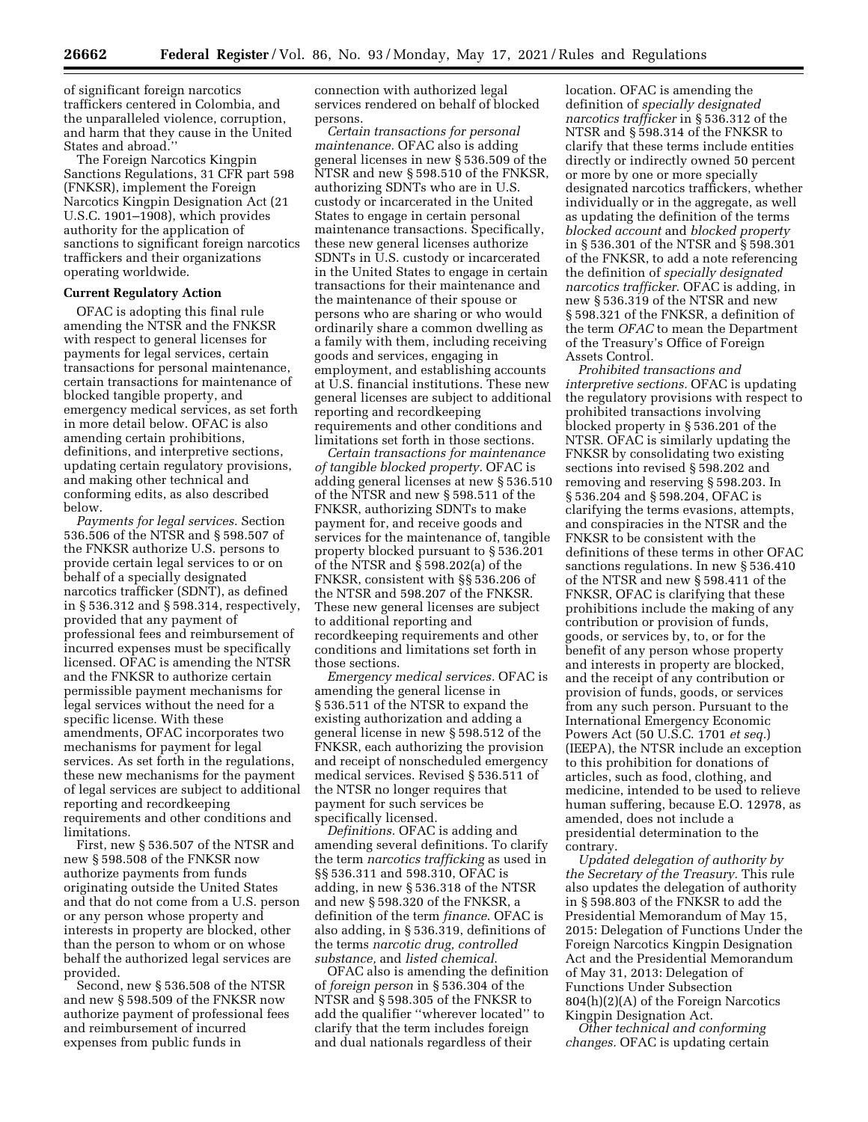of significant foreign narcotics traffickers centered in Colombia, and the unparalleled violence, corruption, and harm that they cause in the United States and abroad."

The Foreign Narcotics Kingpin Sanctions Regulations, 31 CFR part 598 (FNKSR), implement the Foreign Narcotics Kingpin Designation Act (21 U.S.C. 1901–1908), which provides authority for the application of sanctions to significant foreign narcotics traffickers and their organizations operating worldwide.

# **Current Regulatory Action**

OFAC is adopting this final rule amending the NTSR and the FNKSR with respect to general licenses for payments for legal services, certain transactions for personal maintenance, certain transactions for maintenance of blocked tangible property, and emergency medical services, as set forth in more detail below. OFAC is also amending certain prohibitions, definitions, and interpretive sections, updating certain regulatory provisions, and making other technical and conforming edits, as also described below.

*Payments for legal services.* Section 536.506 of the NTSR and § 598.507 of the FNKSR authorize U.S. persons to provide certain legal services to or on behalf of a specially designated narcotics trafficker (SDNT), as defined in § 536.312 and § 598.314, respectively, provided that any payment of professional fees and reimbursement of incurred expenses must be specifically licensed. OFAC is amending the NTSR and the FNKSR to authorize certain permissible payment mechanisms for legal services without the need for a specific license. With these amendments, OFAC incorporates two mechanisms for payment for legal services. As set forth in the regulations, these new mechanisms for the payment of legal services are subject to additional reporting and recordkeeping requirements and other conditions and limitations.

First, new § 536.507 of the NTSR and new § 598.508 of the FNKSR now authorize payments from funds originating outside the United States and that do not come from a U.S. person or any person whose property and interests in property are blocked, other than the person to whom or on whose behalf the authorized legal services are provided.

Second, new § 536.508 of the NTSR and new § 598.509 of the FNKSR now authorize payment of professional fees and reimbursement of incurred expenses from public funds in

connection with authorized legal services rendered on behalf of blocked persons.

*Certain transactions for personal maintenance.* OFAC also is adding general licenses in new § 536.509 of the NTSR and new § 598.510 of the FNKSR, authorizing SDNTs who are in U.S. custody or incarcerated in the United States to engage in certain personal maintenance transactions. Specifically, these new general licenses authorize SDNTs in U.S. custody or incarcerated in the United States to engage in certain transactions for their maintenance and the maintenance of their spouse or persons who are sharing or who would ordinarily share a common dwelling as a family with them, including receiving goods and services, engaging in employment, and establishing accounts at U.S. financial institutions. These new general licenses are subject to additional reporting and recordkeeping requirements and other conditions and limitations set forth in those sections.

*Certain transactions for maintenance of tangible blocked property.* OFAC is adding general licenses at new § 536.510 of the NTSR and new § 598.511 of the FNKSR, authorizing SDNTs to make payment for, and receive goods and services for the maintenance of, tangible property blocked pursuant to § 536.201 of the NTSR and § 598.202(a) of the FNKSR, consistent with §§ 536.206 of the NTSR and 598.207 of the FNKSR. These new general licenses are subject to additional reporting and recordkeeping requirements and other conditions and limitations set forth in those sections.

*Emergency medical services.* OFAC is amending the general license in § 536.511 of the NTSR to expand the existing authorization and adding a general license in new § 598.512 of the FNKSR, each authorizing the provision and receipt of nonscheduled emergency medical services. Revised § 536.511 of the NTSR no longer requires that payment for such services be specifically licensed.

*Definitions.* OFAC is adding and amending several definitions. To clarify the term *narcotics trafficking* as used in §§ 536.311 and 598.310, OFAC is adding, in new § 536.318 of the NTSR and new § 598.320 of the FNKSR, a definition of the term *finance*. OFAC is also adding, in § 536.319, definitions of the terms *narcotic drug, controlled substance,* and *listed chemical*.

OFAC also is amending the definition of *foreign person* in § 536.304 of the NTSR and § 598.305 of the FNKSR to add the qualifier ''wherever located'' to clarify that the term includes foreign and dual nationals regardless of their

location. OFAC is amending the definition of *specially designated narcotics trafficker* in § 536.312 of the NTSR and § 598.314 of the FNKSR to clarify that these terms include entities directly or indirectly owned 50 percent or more by one or more specially designated narcotics traffickers, whether individually or in the aggregate, as well as updating the definition of the terms *blocked account* and *blocked property*  in § 536.301 of the NTSR and § 598.301 of the FNKSR, to add a note referencing the definition of *specially designated narcotics trafficker*. OFAC is adding, in new § 536.319 of the NTSR and new § 598.321 of the FNKSR, a definition of the term *OFAC* to mean the Department of the Treasury's Office of Foreign Assets Control.

*Prohibited transactions and interpretive sections.* OFAC is updating the regulatory provisions with respect to prohibited transactions involving blocked property in § 536.201 of the NTSR. OFAC is similarly updating the FNKSR by consolidating two existing sections into revised § 598.202 and removing and reserving § 598.203. In § 536.204 and § 598.204, OFAC is clarifying the terms evasions, attempts, and conspiracies in the NTSR and the FNKSR to be consistent with the definitions of these terms in other OFAC sanctions regulations. In new § 536.410 of the NTSR and new § 598.411 of the FNKSR, OFAC is clarifying that these prohibitions include the making of any contribution or provision of funds, goods, or services by, to, or for the benefit of any person whose property and interests in property are blocked, and the receipt of any contribution or provision of funds, goods, or services from any such person. Pursuant to the International Emergency Economic Powers Act (50 U.S.C. 1701 *et seq.*) (IEEPA), the NTSR include an exception to this prohibition for donations of articles, such as food, clothing, and medicine, intended to be used to relieve human suffering, because E.O. 12978, as amended, does not include a presidential determination to the contrary.

*Updated delegation of authority by the Secretary of the Treasury.* This rule also updates the delegation of authority in § 598.803 of the FNKSR to add the Presidential Memorandum of May 15, 2015: Delegation of Functions Under the Foreign Narcotics Kingpin Designation Act and the Presidential Memorandum of May 31, 2013: Delegation of Functions Under Subsection 804(h)(2)(A) of the Foreign Narcotics Kingpin Designation Act.

*Other technical and conforming changes.* OFAC is updating certain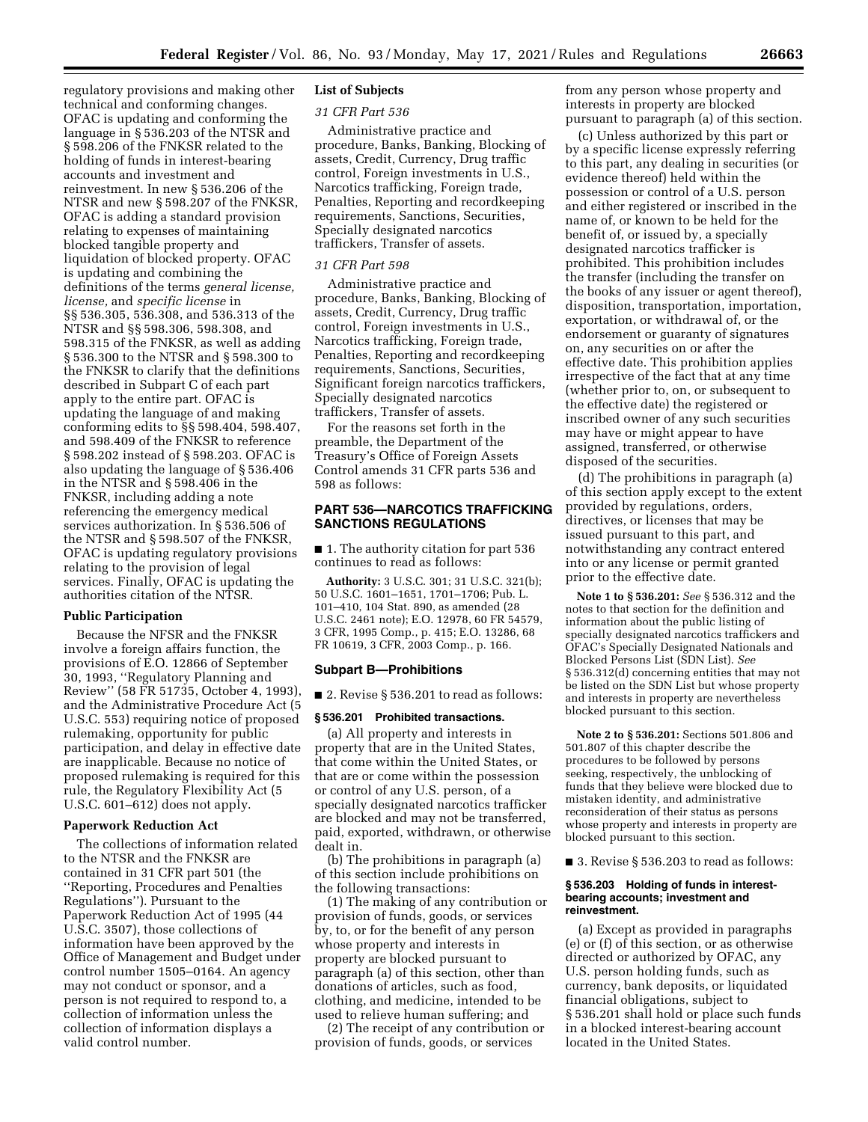regulatory provisions and making other technical and conforming changes. OFAC is updating and conforming the language in § 536.203 of the NTSR and § 598.206 of the FNKSR related to the holding of funds in interest-bearing accounts and investment and reinvestment. In new § 536.206 of the NTSR and new § 598.207 of the FNKSR, OFAC is adding a standard provision relating to expenses of maintaining blocked tangible property and liquidation of blocked property. OFAC is updating and combining the definitions of the terms *general license, license,* and *specific license* in §§ 536.305, 536.308, and 536.313 of the NTSR and §§ 598.306, 598.308, and 598.315 of the FNKSR, as well as adding § 536.300 to the NTSR and § 598.300 to the FNKSR to clarify that the definitions described in Subpart C of each part apply to the entire part. OFAC is updating the language of and making conforming edits to §§ 598.404, 598.407, and 598.409 of the FNKSR to reference § 598.202 instead of § 598.203. OFAC is also updating the language of § 536.406 in the NTSR and § 598.406 in the FNKSR, including adding a note referencing the emergency medical services authorization. In § 536.506 of the NTSR and § 598.507 of the FNKSR, OFAC is updating regulatory provisions relating to the provision of legal services. Finally, OFAC is updating the authorities citation of the NTSR.

#### **Public Participation**

Because the NFSR and the FNKSR involve a foreign affairs function, the provisions of E.O. 12866 of September 30, 1993, ''Regulatory Planning and Review'' (58 FR 51735, October 4, 1993), and the Administrative Procedure Act (5 U.S.C. 553) requiring notice of proposed rulemaking, opportunity for public participation, and delay in effective date are inapplicable. Because no notice of proposed rulemaking is required for this rule, the Regulatory Flexibility Act (5 U.S.C. 601–612) does not apply.

#### **Paperwork Reduction Act**

The collections of information related to the NTSR and the FNKSR are contained in 31 CFR part 501 (the ''Reporting, Procedures and Penalties Regulations''). Pursuant to the Paperwork Reduction Act of 1995 (44 U.S.C. 3507), those collections of information have been approved by the Office of Management and Budget under control number 1505–0164. An agency may not conduct or sponsor, and a person is not required to respond to, a collection of information unless the collection of information displays a valid control number.

# **List of Subjects**

## *31 CFR Part 536*

Administrative practice and procedure, Banks, Banking, Blocking of assets, Credit, Currency, Drug traffic control, Foreign investments in U.S., Narcotics trafficking, Foreign trade, Penalties, Reporting and recordkeeping requirements, Sanctions, Securities, Specially designated narcotics traffickers, Transfer of assets.

# *31 CFR Part 598*

Administrative practice and procedure, Banks, Banking, Blocking of assets, Credit, Currency, Drug traffic control, Foreign investments in U.S., Narcotics trafficking, Foreign trade, Penalties, Reporting and recordkeeping requirements, Sanctions, Securities, Significant foreign narcotics traffickers, Specially designated narcotics traffickers, Transfer of assets.

For the reasons set forth in the preamble, the Department of the Treasury's Office of Foreign Assets Control amends 31 CFR parts 536 and 598 as follows:

# **PART 536—NARCOTICS TRAFFICKING SANCTIONS REGULATIONS**

■ 1. The authority citation for part 536 continues to read as follows:

**Authority:** 3 U.S.C. 301; 31 U.S.C. 321(b); 50 U.S.C. 1601–1651, 1701–1706; Pub. L. 101–410, 104 Stat. 890, as amended (28 U.S.C. 2461 note); E.O. 12978, 60 FR 54579, 3 CFR, 1995 Comp., p. 415; E.O. 13286, 68 FR 10619, 3 CFR, 2003 Comp., p. 166.

# **Subpart B—Prohibitions**

■ 2. Revise § 536.201 to read as follows:

#### **§ 536.201 Prohibited transactions.**

(a) All property and interests in property that are in the United States, that come within the United States, or that are or come within the possession or control of any U.S. person, of a specially designated narcotics trafficker are blocked and may not be transferred, paid, exported, withdrawn, or otherwise dealt in.

(b) The prohibitions in paragraph (a) of this section include prohibitions on the following transactions:

(1) The making of any contribution or provision of funds, goods, or services by, to, or for the benefit of any person whose property and interests in property are blocked pursuant to paragraph (a) of this section, other than donations of articles, such as food, clothing, and medicine, intended to be used to relieve human suffering; and

(2) The receipt of any contribution or provision of funds, goods, or services

from any person whose property and interests in property are blocked pursuant to paragraph (a) of this section.

(c) Unless authorized by this part or by a specific license expressly referring to this part, any dealing in securities (or evidence thereof) held within the possession or control of a U.S. person and either registered or inscribed in the name of, or known to be held for the benefit of, or issued by, a specially designated narcotics trafficker is prohibited. This prohibition includes the transfer (including the transfer on the books of any issuer or agent thereof), disposition, transportation, importation, exportation, or withdrawal of, or the endorsement or guaranty of signatures on, any securities on or after the effective date. This prohibition applies irrespective of the fact that at any time (whether prior to, on, or subsequent to the effective date) the registered or inscribed owner of any such securities may have or might appear to have assigned, transferred, or otherwise disposed of the securities.

(d) The prohibitions in paragraph (a) of this section apply except to the extent provided by regulations, orders, directives, or licenses that may be issued pursuant to this part, and notwithstanding any contract entered into or any license or permit granted prior to the effective date.

**Note 1 to § 536.201:** *See* § 536.312 and the notes to that section for the definition and information about the public listing of specially designated narcotics traffickers and OFAC's Specially Designated Nationals and Blocked Persons List (SDN List). *See*  § 536.312(d) concerning entities that may not be listed on the SDN List but whose property and interests in property are nevertheless blocked pursuant to this section.

**Note 2 to § 536.201:** Sections 501.806 and 501.807 of this chapter describe the procedures to be followed by persons seeking, respectively, the unblocking of funds that they believe were blocked due to mistaken identity, and administrative reconsideration of their status as persons whose property and interests in property are blocked pursuant to this section.

■ 3. Revise § 536.203 to read as follows:

#### **§ 536.203 Holding of funds in interestbearing accounts; investment and reinvestment.**

(a) Except as provided in paragraphs (e) or (f) of this section, or as otherwise directed or authorized by OFAC, any U.S. person holding funds, such as currency, bank deposits, or liquidated financial obligations, subject to § 536.201 shall hold or place such funds in a blocked interest-bearing account located in the United States.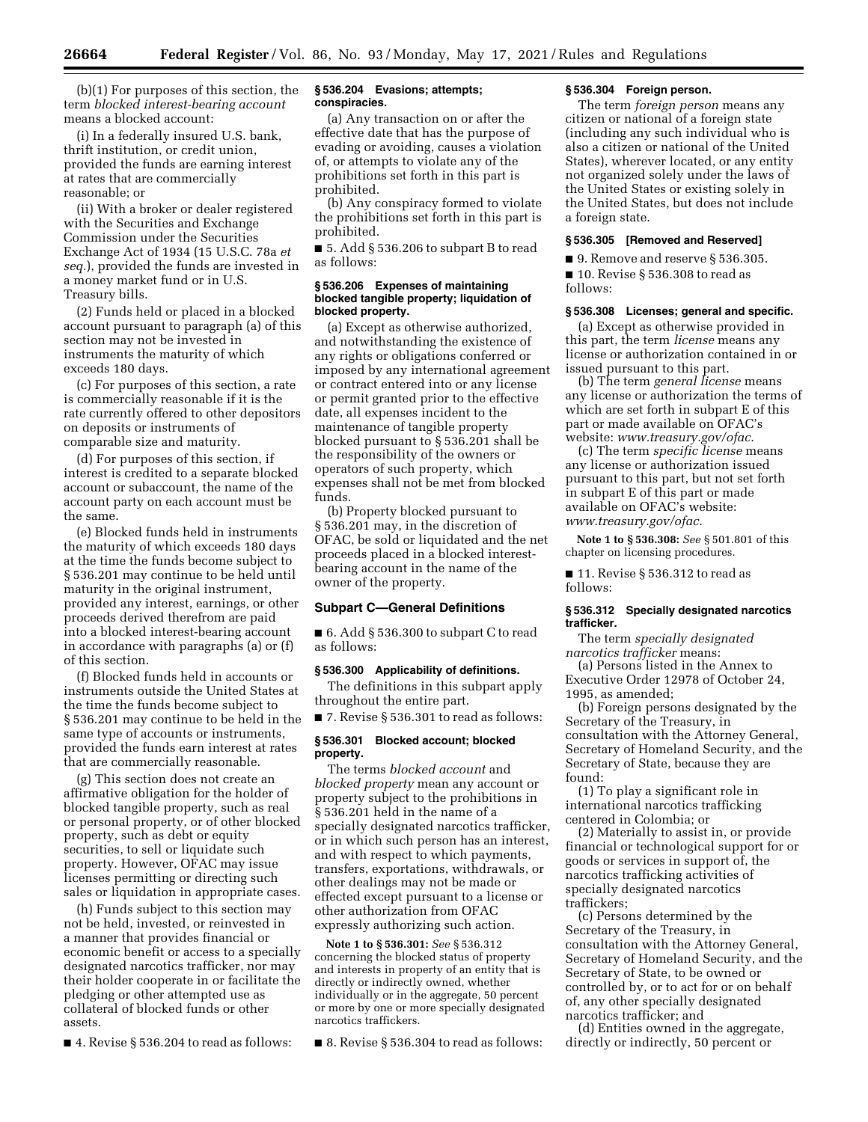(b)(1) For purposes of this section, the term *blocked interest-bearing account*  means a blocked account:

(i) In a federally insured U.S. bank, thrift institution, or credit union, provided the funds are earning interest at rates that are commercially reasonable; or

(ii) With a broker or dealer registered with the Securities and Exchange Commission under the Securities Exchange Act of 1934 (15 U.S.C. 78a *et seq.*), provided the funds are invested in a money market fund or in U.S. Treasury bills.

(2) Funds held or placed in a blocked account pursuant to paragraph (a) of this section may not be invested in instruments the maturity of which exceeds 180 days.

(c) For purposes of this section, a rate is commercially reasonable if it is the rate currently offered to other depositors on deposits or instruments of comparable size and maturity.

(d) For purposes of this section, if interest is credited to a separate blocked account or subaccount, the name of the account party on each account must be the same.

(e) Blocked funds held in instruments the maturity of which exceeds 180 days at the time the funds become subject to § 536.201 may continue to be held until maturity in the original instrument, provided any interest, earnings, or other proceeds derived therefrom are paid into a blocked interest-bearing account in accordance with paragraphs (a) or (f) of this section.

(f) Blocked funds held in accounts or instruments outside the United States at the time the funds become subject to § 536.201 may continue to be held in the same type of accounts or instruments, provided the funds earn interest at rates that are commercially reasonable.

(g) This section does not create an affirmative obligation for the holder of blocked tangible property, such as real or personal property, or of other blocked property, such as debt or equity securities, to sell or liquidate such property. However, OFAC may issue licenses permitting or directing such sales or liquidation in appropriate cases.

(h) Funds subject to this section may not be held, invested, or reinvested in a manner that provides financial or economic benefit or access to a specially designated narcotics trafficker, nor may their holder cooperate in or facilitate the pledging or other attempted use as collateral of blocked funds or other assets.

■ 4. Revise § 536.204 to read as follows:

#### **§ 536.204 Evasions; attempts; conspiracies.**

(a) Any transaction on or after the effective date that has the purpose of evading or avoiding, causes a violation of, or attempts to violate any of the prohibitions set forth in this part is prohibited.

(b) Any conspiracy formed to violate the prohibitions set forth in this part is prohibited.

■ 5. Add § 536.206 to subpart B to read as follows:

## **§ 536.206 Expenses of maintaining blocked tangible property; liquidation of blocked property.**

(a) Except as otherwise authorized, and notwithstanding the existence of any rights or obligations conferred or imposed by any international agreement or contract entered into or any license or permit granted prior to the effective date, all expenses incident to the maintenance of tangible property blocked pursuant to § 536.201 shall be the responsibility of the owners or operators of such property, which expenses shall not be met from blocked funds.

(b) Property blocked pursuant to § 536.201 may, in the discretion of OFAC, be sold or liquidated and the net proceeds placed in a blocked interestbearing account in the name of the owner of the property.

#### **Subpart C—General Definitions**

■ 6. Add § 536.300 to subpart C to read as follows:

#### **§ 536.300 Applicability of definitions.**

The definitions in this subpart apply throughout the entire part.

■ 7. Revise § 536.301 to read as follows:

## **§ 536.301 Blocked account; blocked property.**

The terms *blocked account* and *blocked property* mean any account or property subject to the prohibitions in § 536.201 held in the name of a specially designated narcotics trafficker, or in which such person has an interest, and with respect to which payments, transfers, exportations, withdrawals, or other dealings may not be made or effected except pursuant to a license or other authorization from OFAC expressly authorizing such action.

**Note 1 to § 536.301:** *See* § 536.312 concerning the blocked status of property and interests in property of an entity that is directly or indirectly owned, whether individually or in the aggregate, 50 percent or more by one or more specially designated narcotics traffickers.

■ 8. Revise § 536.304 to read as follows:

## **§ 536.304 Foreign person.**

The term *foreign person* means any citizen or national of a foreign state (including any such individual who is also a citizen or national of the United States), wherever located, or any entity not organized solely under the laws of the United States or existing solely in the United States, but does not include a foreign state.

## **§ 536.305 [Removed and Reserved]**

■ 9. Remove and reserve § 536.305.

■ 10. Revise § 536.308 to read as follows:

#### **§ 536.308 Licenses; general and specific.**

(a) Except as otherwise provided in this part, the term *license* means any license or authorization contained in or issued pursuant to this part.

(b) The term *general license* means any license or authorization the terms of which are set forth in subpart E of this part or made available on OFAC's website: *[www.treasury.gov/ofac](http://www.treasury.gov/ofac)*.

(c) The term *specific license* means any license or authorization issued pursuant to this part, but not set forth in subpart E of this part or made available on OFAC's website: *[www.treasury.gov/ofac](http://www.treasury.gov/ofac)*.

**Note 1 to § 536.308:** *See* § 501.801 of this chapter on licensing procedures.

■ 11. Revise § 536.312 to read as follows:

#### **§ 536.312 Specially designated narcotics trafficker.**

The term *specially designated narcotics trafficker* means:

(a) Persons listed in the Annex to Executive Order 12978 of October 24, 1995, as amended;

(b) Foreign persons designated by the Secretary of the Treasury, in consultation with the Attorney General, Secretary of Homeland Security, and the Secretary of State, because they are found:

(1) To play a significant role in international narcotics trafficking centered in Colombia; or

(2) Materially to assist in, or provide financial or technological support for or goods or services in support of, the narcotics trafficking activities of specially designated narcotics traffickers;

(c) Persons determined by the Secretary of the Treasury, in consultation with the Attorney General, Secretary of Homeland Security, and the Secretary of State, to be owned or controlled by, or to act for or on behalf of, any other specially designated narcotics trafficker; and

(d) Entities owned in the aggregate, directly or indirectly, 50 percent or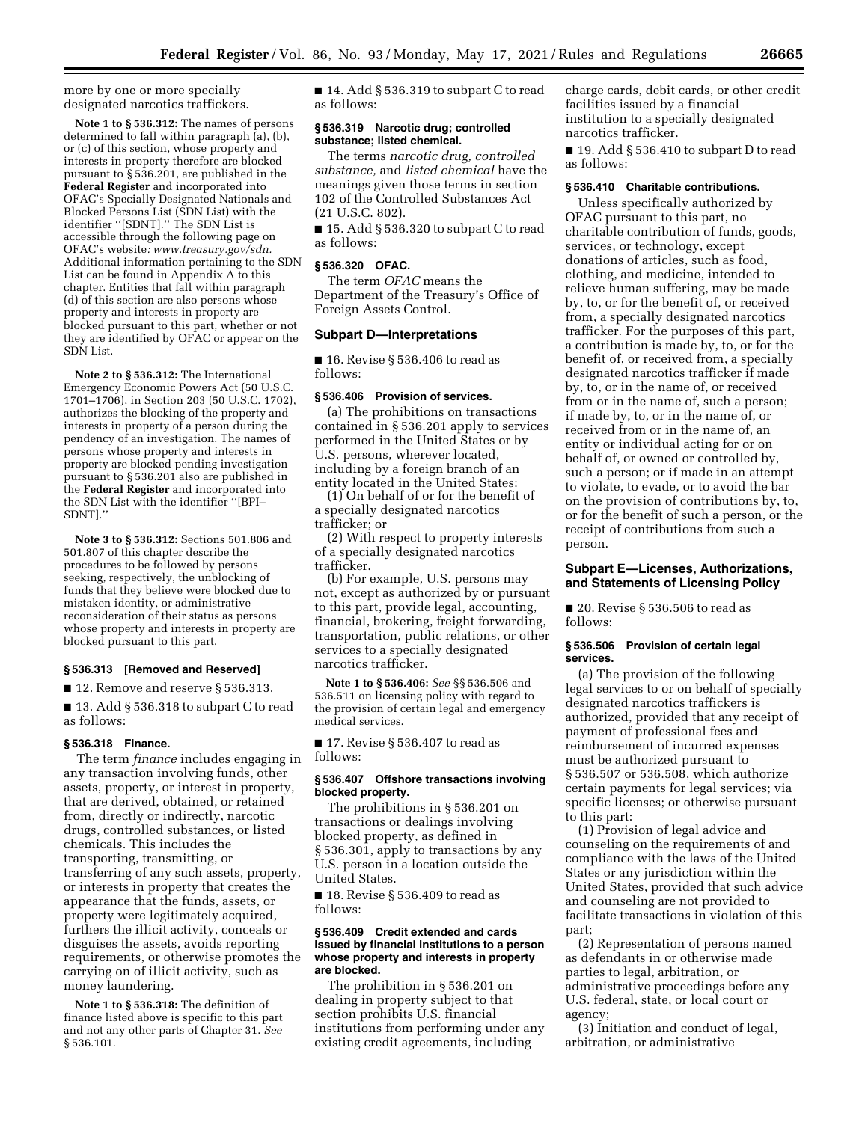more by one or more specially designated narcotics traffickers.

**Note 1 to § 536.312:** The names of persons determined to fall within paragraph (a), (b), or (c) of this section, whose property and interests in property therefore are blocked pursuant to § 536.201, are published in the **Federal Register** and incorporated into OFAC's Specially Designated Nationals and Blocked Persons List (SDN List) with the identifier ''[SDNT].'' The SDN List is accessible through the following page on OFAC's website*: [www.treasury.gov/sdn.](http://www.treasury.gov/sdn)*  Additional information pertaining to the SDN List can be found in Appendix A to this chapter. Entities that fall within paragraph (d) of this section are also persons whose property and interests in property are blocked pursuant to this part, whether or not they are identified by OFAC or appear on the SDN List.

**Note 2 to § 536.312:** The International Emergency Economic Powers Act (50 U.S.C. 1701–1706), in Section 203 (50 U.S.C. 1702), authorizes the blocking of the property and interests in property of a person during the pendency of an investigation. The names of persons whose property and interests in property are blocked pending investigation pursuant to § 536.201 also are published in the **Federal Register** and incorporated into the SDN List with the identifier ''[BPI– SDNT].''

**Note 3 to § 536.312:** Sections 501.806 and 501.807 of this chapter describe the procedures to be followed by persons seeking, respectively, the unblocking of funds that they believe were blocked due to mistaken identity, or administrative reconsideration of their status as persons whose property and interests in property are blocked pursuant to this part.

#### **§ 536.313 [Removed and Reserved]**

■ 12. Remove and reserve § 536.313.

■ 13. Add § 536.318 to subpart C to read as follows:

#### **§ 536.318 Finance.**

The term *finance* includes engaging in any transaction involving funds, other assets, property, or interest in property, that are derived, obtained, or retained from, directly or indirectly, narcotic drugs, controlled substances, or listed chemicals. This includes the transporting, transmitting, or transferring of any such assets, property, or interests in property that creates the appearance that the funds, assets, or property were legitimately acquired, furthers the illicit activity, conceals or disguises the assets, avoids reporting requirements, or otherwise promotes the carrying on of illicit activity, such as money laundering.

**Note 1 to § 536.318:** The definition of finance listed above is specific to this part and not any other parts of Chapter 31. *See*  § 536.101.

■ 14. Add § 536.319 to subpart C to read as follows:

## **§ 536.319 Narcotic drug; controlled substance; listed chemical.**

The terms *narcotic drug, controlled substance,* and *listed chemical* have the meanings given those terms in section 102 of the Controlled Substances Act (21 U.S.C. 802).

■ 15. Add § 536.320 to subpart C to read as follows:

# **§ 536.320 OFAC.**

The term *OFAC* means the Department of the Treasury's Office of Foreign Assets Control.

#### **Subpart D—Interpretations**

■ 16. Revise § 536.406 to read as follows:

#### **§ 536.406 Provision of services.**

(a) The prohibitions on transactions contained in § 536.201 apply to services performed in the United States or by U.S. persons, wherever located, including by a foreign branch of an entity located in the United States:

(1) On behalf of or for the benefit of a specially designated narcotics trafficker; or

(2) With respect to property interests of a specially designated narcotics trafficker.

(b) For example, U.S. persons may not, except as authorized by or pursuant to this part, provide legal, accounting, financial, brokering, freight forwarding, transportation, public relations, or other services to a specially designated narcotics trafficker.

**Note 1 to § 536.406:** *See* §§ 536.506 and 536.511 on licensing policy with regard to the provision of certain legal and emergency medical services.

■ 17. Revise § 536.407 to read as follows:

## **§ 536.407 Offshore transactions involving blocked property.**

The prohibitions in § 536.201 on transactions or dealings involving blocked property, as defined in § 536.301, apply to transactions by any U.S. person in a location outside the United States.

■ 18. Revise § 536.409 to read as follows:

## **§ 536.409 Credit extended and cards issued by financial institutions to a person whose property and interests in property are blocked.**

The prohibition in § 536.201 on dealing in property subject to that section prohibits U.S. financial institutions from performing under any existing credit agreements, including

charge cards, debit cards, or other credit facilities issued by a financial institution to a specially designated narcotics trafficker.

■ 19. Add § 536.410 to subpart D to read as follows:

#### **§ 536.410 Charitable contributions.**

Unless specifically authorized by OFAC pursuant to this part, no charitable contribution of funds, goods, services, or technology, except donations of articles, such as food, clothing, and medicine, intended to relieve human suffering, may be made by, to, or for the benefit of, or received from, a specially designated narcotics trafficker. For the purposes of this part, a contribution is made by, to, or for the benefit of, or received from, a specially designated narcotics trafficker if made by, to, or in the name of, or received from or in the name of, such a person; if made by, to, or in the name of, or received from or in the name of, an entity or individual acting for or on behalf of, or owned or controlled by, such a person; or if made in an attempt to violate, to evade, or to avoid the bar on the provision of contributions by, to, or for the benefit of such a person, or the receipt of contributions from such a person.

## **Subpart E—Licenses, Authorizations, and Statements of Licensing Policy**

■ 20. Revise § 536.506 to read as follows:

#### **§ 536.506 Provision of certain legal services.**

(a) The provision of the following legal services to or on behalf of specially designated narcotics traffickers is authorized, provided that any receipt of payment of professional fees and reimbursement of incurred expenses must be authorized pursuant to § 536.507 or 536.508, which authorize certain payments for legal services; via specific licenses; or otherwise pursuant to this part:

(1) Provision of legal advice and counseling on the requirements of and compliance with the laws of the United States or any jurisdiction within the United States, provided that such advice and counseling are not provided to facilitate transactions in violation of this part;

(2) Representation of persons named as defendants in or otherwise made parties to legal, arbitration, or administrative proceedings before any U.S. federal, state, or local court or agency;

(3) Initiation and conduct of legal, arbitration, or administrative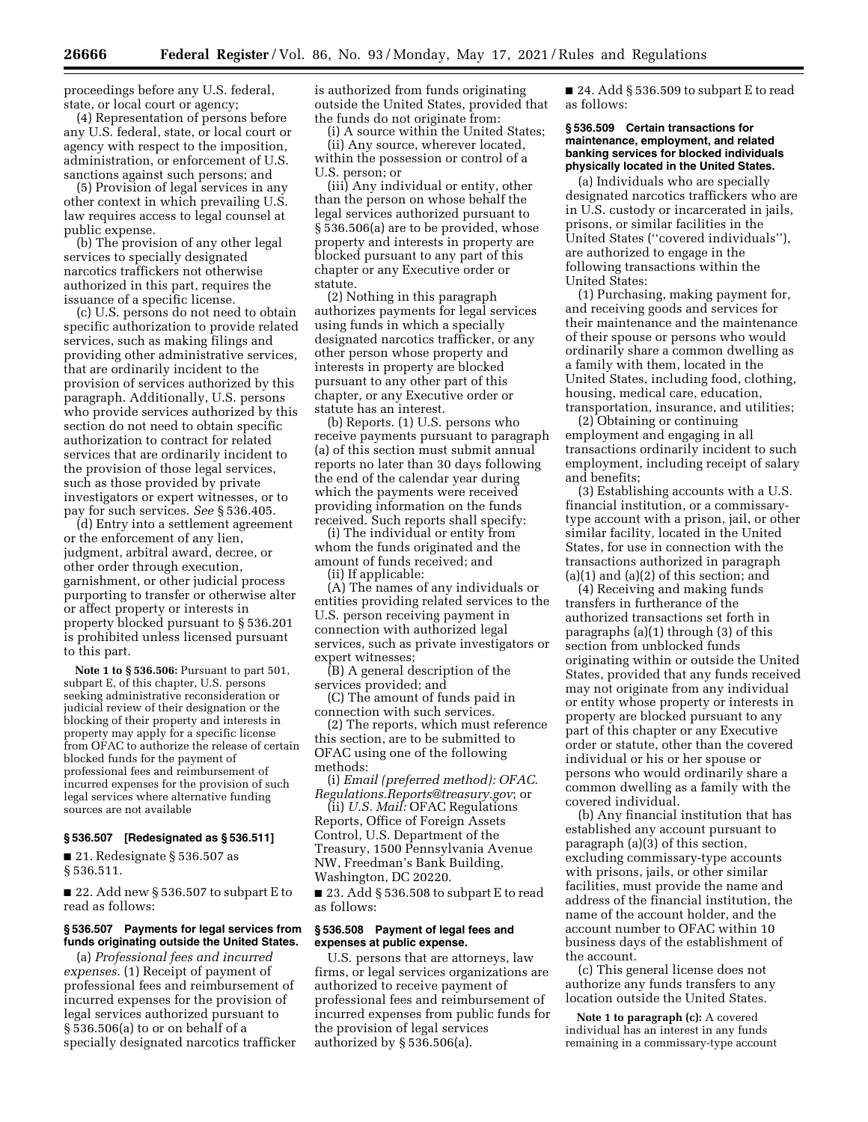proceedings before any U.S. federal, state, or local court or agency;

(4) Representation of persons before any U.S. federal, state, or local court or agency with respect to the imposition, administration, or enforcement of U.S. sanctions against such persons; and

(5) Provision of legal services in any other context in which prevailing U.S. law requires access to legal counsel at public expense.

(b) The provision of any other legal services to specially designated narcotics traffickers not otherwise authorized in this part, requires the issuance of a specific license.

(c) U.S. persons do not need to obtain specific authorization to provide related services, such as making filings and providing other administrative services, that are ordinarily incident to the provision of services authorized by this paragraph. Additionally, U.S. persons who provide services authorized by this section do not need to obtain specific authorization to contract for related services that are ordinarily incident to the provision of those legal services, such as those provided by private investigators or expert witnesses, or to pay for such services. *See* § 536.405.

(d) Entry into a settlement agreement or the enforcement of any lien, judgment, arbitral award, decree, or other order through execution, garnishment, or other judicial process purporting to transfer or otherwise alter or affect property or interests in property blocked pursuant to § 536.201 is prohibited unless licensed pursuant to this part.

**Note 1 to § 536.506:** Pursuant to part 501, subpart E, of this chapter, U.S. persons seeking administrative reconsideration or judicial review of their designation or the blocking of their property and interests in property may apply for a specific license from OFAC to authorize the release of certain blocked funds for the payment of professional fees and reimbursement of incurred expenses for the provision of such legal services where alternative funding sources are not available

# **§ 536.507 [Redesignated as § 536.511]**

■ 21. Redesignate § 536.507 as § 536.511.

■ 22. Add new § 536.507 to subpart E to read as follows:

## **§ 536.507 Payments for legal services from funds originating outside the United States.**

(a) *Professional fees and incurred expenses.* (1) Receipt of payment of professional fees and reimbursement of incurred expenses for the provision of legal services authorized pursuant to § 536.506(a) to or on behalf of a specially designated narcotics trafficker is authorized from funds originating outside the United States, provided that the funds do not originate from:

(i) A source within the United States; (ii) Any source, wherever located, within the possession or control of a U.S. person; or

(iii) Any individual or entity, other than the person on whose behalf the legal services authorized pursuant to § 536.506(a) are to be provided, whose property and interests in property are blocked pursuant to any part of this chapter or any Executive order or statute.

(2) Nothing in this paragraph authorizes payments for legal services using funds in which a specially designated narcotics trafficker, or any other person whose property and interests in property are blocked pursuant to any other part of this chapter, or any Executive order or statute has an interest.

(b) Reports. (1) U.S. persons who receive payments pursuant to paragraph (a) of this section must submit annual reports no later than 30 days following the end of the calendar year during which the payments were received providing information on the funds received. Such reports shall specify:

(i) The individual or entity from whom the funds originated and the amount of funds received; and (ii) If applicable:

(A) The names of any individuals or entities providing related services to the U.S. person receiving payment in connection with authorized legal services, such as private investigators or expert witnesses;

(B) A general description of the services provided; and

(C) The amount of funds paid in connection with such services.

(2) The reports, which must reference this section, are to be submitted to OFAC using one of the following methods:

(i) *Email (preferred method): [OFAC.](mailto:OFAC.Regulations.Reports@treasury.gov) [Regulations.Reports@treasury.gov](mailto:OFAC.Regulations.Reports@treasury.gov)*; or

(ii) *U.S. Mail:* OFAC Regulations Reports, Office of Foreign Assets Control, U.S. Department of the Treasury, 1500 Pennsylvania Avenue NW, Freedman's Bank Building, Washington, DC 20220.

■ 23. Add § 536.508 to subpart E to read as follows:

#### **§ 536.508 Payment of legal fees and expenses at public expense.**

U.S. persons that are attorneys, law firms, or legal services organizations are authorized to receive payment of professional fees and reimbursement of incurred expenses from public funds for the provision of legal services authorized by § 536.506(a).

 $\blacksquare$  24. Add § 536.509 to subpart E to read as follows:

### **§ 536.509 Certain transactions for maintenance, employment, and related banking services for blocked individuals physically located in the United States.**

(a) Individuals who are specially designated narcotics traffickers who are in U.S. custody or incarcerated in jails, prisons, or similar facilities in the United States (''covered individuals''), are authorized to engage in the following transactions within the United States:

(1) Purchasing, making payment for, and receiving goods and services for their maintenance and the maintenance of their spouse or persons who would ordinarily share a common dwelling as a family with them, located in the United States, including food, clothing, housing, medical care, education, transportation, insurance, and utilities;

(2) Obtaining or continuing employment and engaging in all transactions ordinarily incident to such employment, including receipt of salary and benefits;

(3) Establishing accounts with a U.S. financial institution, or a commissarytype account with a prison, jail, or other similar facility, located in the United States, for use in connection with the transactions authorized in paragraph  $(a)(1)$  and  $(a)(2)$  of this section; and

(4) Receiving and making funds transfers in furtherance of the authorized transactions set forth in paragraphs (a)(1) through (3) of this section from unblocked funds originating within or outside the United States, provided that any funds received may not originate from any individual or entity whose property or interests in property are blocked pursuant to any part of this chapter or any Executive order or statute, other than the covered individual or his or her spouse or persons who would ordinarily share a common dwelling as a family with the covered individual.

(b) Any financial institution that has established any account pursuant to paragraph (a)(3) of this section, excluding commissary-type accounts with prisons, jails, or other similar facilities, must provide the name and address of the financial institution, the name of the account holder, and the account number to OFAC within 10 business days of the establishment of the account.

(c) This general license does not authorize any funds transfers to any location outside the United States.

**Note 1 to paragraph (c):** A covered individual has an interest in any funds remaining in a commissary-type account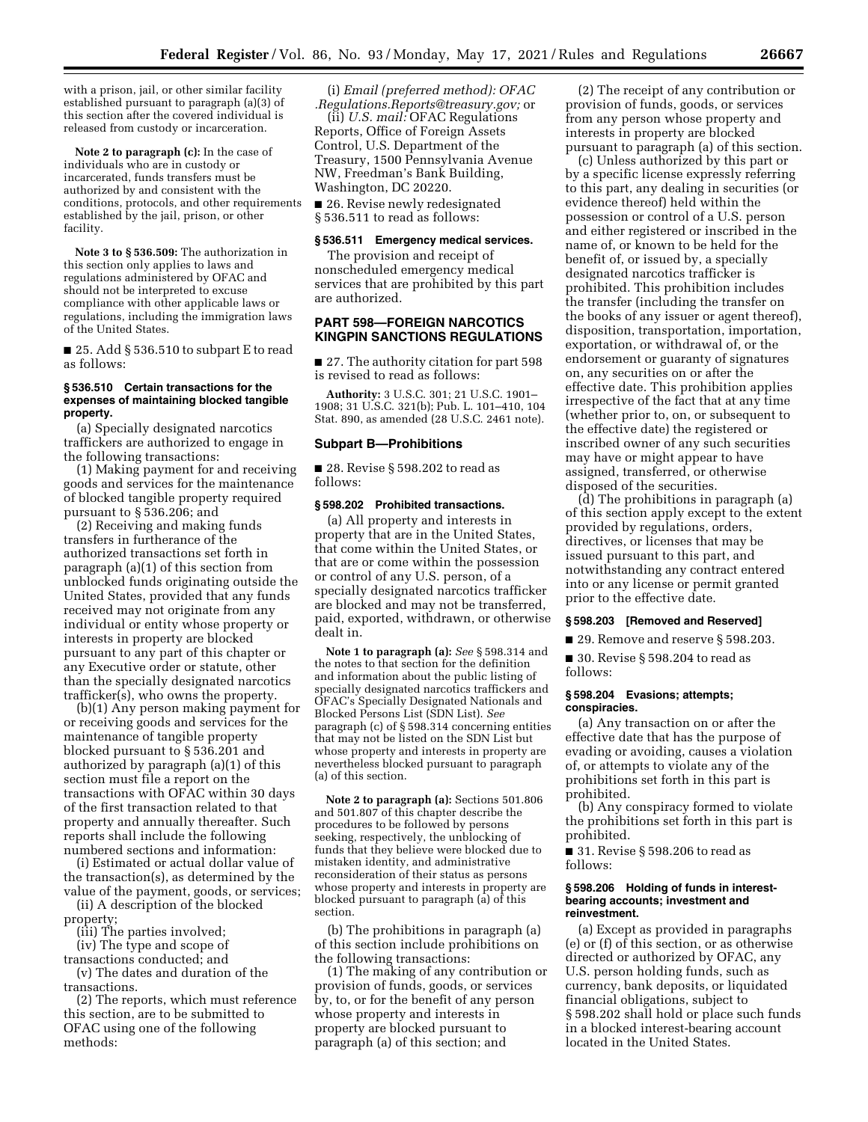with a prison, jail, or other similar facility established pursuant to paragraph (a)(3) of this section after the covered individual is released from custody or incarceration.

**Note 2 to paragraph (c):** In the case of individuals who are in custody or incarcerated, funds transfers must be authorized by and consistent with the conditions, protocols, and other requirements established by the jail, prison, or other facility.

**Note 3 to § 536.509:** The authorization in this section only applies to laws and regulations administered by OFAC and should not be interpreted to excuse compliance with other applicable laws or regulations, including the immigration laws of the United States.

■ 25. Add § 536.510 to subpart E to read as follows:

## **§ 536.510 Certain transactions for the expenses of maintaining blocked tangible property.**

(a) Specially designated narcotics traffickers are authorized to engage in the following transactions:

(1) Making payment for and receiving goods and services for the maintenance of blocked tangible property required pursuant to § 536.206; and

(2) Receiving and making funds transfers in furtherance of the authorized transactions set forth in paragraph (a)(1) of this section from unblocked funds originating outside the United States, provided that any funds received may not originate from any individual or entity whose property or interests in property are blocked pursuant to any part of this chapter or any Executive order or statute, other than the specially designated narcotics trafficker(s), who owns the property.

(b)(1) Any person making payment for or receiving goods and services for the maintenance of tangible property blocked pursuant to § 536.201 and authorized by paragraph (a)(1) of this section must file a report on the transactions with OFAC within 30 days of the first transaction related to that property and annually thereafter. Such reports shall include the following numbered sections and information:

(i) Estimated or actual dollar value of the transaction(s), as determined by the value of the payment, goods, or services;

(ii) A description of the blocked property;

(iii) The parties involved;

(iv) The type and scope of

transactions conducted; and (v) The dates and duration of the transactions.

(2) The reports, which must reference this section, are to be submitted to OFAC using one of the following methods:

(i) *Email (preferred method): [OFAC](mailto:OFAC.Regulations.Reports@treasury.gov) [.Regulations.Reports@treasury.gov;](mailto:OFAC.Regulations.Reports@treasury.gov)* or

(ii) *U.S. mail:* OFAC Regulations Reports, Office of Foreign Assets Control, U.S. Department of the Treasury, 1500 Pennsylvania Avenue NW, Freedman's Bank Building, Washington, DC 20220.

■ 26. Revise newly redesignated § 536.511 to read as follows:

#### **§ 536.511 Emergency medical services.**

The provision and receipt of nonscheduled emergency medical services that are prohibited by this part are authorized.

## **PART 598—FOREIGN NARCOTICS KINGPIN SANCTIONS REGULATIONS**

■ 27. The authority citation for part 598 is revised to read as follows:

**Authority:** 3 U.S.C. 301; 21 U.S.C. 1901– 1908; 31 U.S.C. 321(b); Pub. L. 101–410, 104 Stat. 890, as amended (28 U.S.C. 2461 note).

#### **Subpart B—Prohibitions**

■ 28. Revise § 598.202 to read as follows:

## **§ 598.202 Prohibited transactions.**

(a) All property and interests in property that are in the United States, that come within the United States, or that are or come within the possession or control of any U.S. person, of a specially designated narcotics trafficker are blocked and may not be transferred, paid, exported, withdrawn, or otherwise dealt in.

**Note 1 to paragraph (a):** *See* § 598.314 and the notes to that section for the definition and information about the public listing of specially designated narcotics traffickers and OFAC's Specially Designated Nationals and Blocked Persons List (SDN List). *See*  paragraph (c) of § 598.314 concerning entities that may not be listed on the SDN List but whose property and interests in property are nevertheless blocked pursuant to paragraph (a) of this section.

**Note 2 to paragraph (a):** Sections 501.806 and 501.807 of this chapter describe the procedures to be followed by persons seeking, respectively, the unblocking of funds that they believe were blocked due to mistaken identity, and administrative reconsideration of their status as persons whose property and interests in property are blocked pursuant to paragraph (a) of this section.

(b) The prohibitions in paragraph (a) of this section include prohibitions on the following transactions:

(1) The making of any contribution or provision of funds, goods, or services by, to, or for the benefit of any person whose property and interests in property are blocked pursuant to paragraph (a) of this section; and

(2) The receipt of any contribution or provision of funds, goods, or services from any person whose property and interests in property are blocked pursuant to paragraph (a) of this section.

(c) Unless authorized by this part or by a specific license expressly referring to this part, any dealing in securities (or evidence thereof) held within the possession or control of a U.S. person and either registered or inscribed in the name of, or known to be held for the benefit of, or issued by, a specially designated narcotics trafficker is prohibited. This prohibition includes the transfer (including the transfer on the books of any issuer or agent thereof), disposition, transportation, importation, exportation, or withdrawal of, or the endorsement or guaranty of signatures on, any securities on or after the effective date. This prohibition applies irrespective of the fact that at any time (whether prior to, on, or subsequent to the effective date) the registered or inscribed owner of any such securities may have or might appear to have assigned, transferred, or otherwise disposed of the securities.

(d) The prohibitions in paragraph (a) of this section apply except to the extent provided by regulations, orders, directives, or licenses that may be issued pursuant to this part, and notwithstanding any contract entered into or any license or permit granted prior to the effective date.

## **§ 598.203 [Removed and Reserved]**

■ 29. Remove and reserve § 598.203.

■ 30. Revise § 598.204 to read as follows:

#### **§ 598.204 Evasions; attempts; conspiracies.**

(a) Any transaction on or after the effective date that has the purpose of evading or avoiding, causes a violation of, or attempts to violate any of the prohibitions set forth in this part is prohibited.

(b) Any conspiracy formed to violate the prohibitions set forth in this part is prohibited.

■ 31. Revise § 598.206 to read as follows:

#### **§ 598.206 Holding of funds in interestbearing accounts; investment and reinvestment.**

(a) Except as provided in paragraphs (e) or (f) of this section, or as otherwise directed or authorized by OFAC, any U.S. person holding funds, such as currency, bank deposits, or liquidated financial obligations, subject to § 598.202 shall hold or place such funds in a blocked interest-bearing account located in the United States.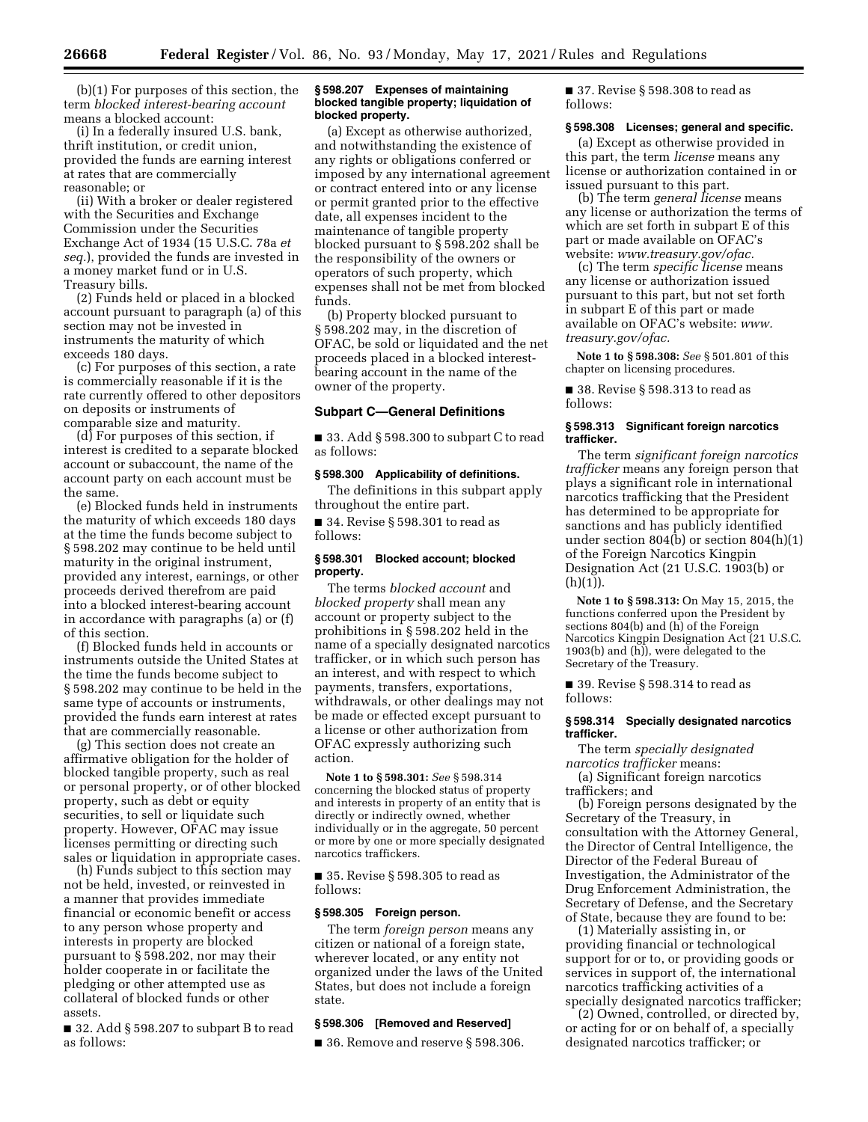(b)(1) For purposes of this section, the term *blocked interest-bearing account*  means a blocked account:

(i) In a federally insured U.S. bank, thrift institution, or credit union, provided the funds are earning interest at rates that are commercially reasonable; or

(ii) With a broker or dealer registered with the Securities and Exchange Commission under the Securities Exchange Act of 1934 (15 U.S.C. 78a *et seq.*), provided the funds are invested in a money market fund or in U.S. Treasury bills.

(2) Funds held or placed in a blocked account pursuant to paragraph (a) of this section may not be invested in instruments the maturity of which exceeds 180 days.

(c) For purposes of this section, a rate is commercially reasonable if it is the rate currently offered to other depositors on deposits or instruments of comparable size and maturity.

(d) For purposes of this section, if interest is credited to a separate blocked account or subaccount, the name of the account party on each account must be the same.

(e) Blocked funds held in instruments the maturity of which exceeds 180 days at the time the funds become subject to § 598.202 may continue to be held until maturity in the original instrument, provided any interest, earnings, or other proceeds derived therefrom are paid into a blocked interest-bearing account in accordance with paragraphs (a) or (f) of this section.

(f) Blocked funds held in accounts or instruments outside the United States at the time the funds become subject to § 598.202 may continue to be held in the same type of accounts or instruments, provided the funds earn interest at rates that are commercially reasonable.

(g) This section does not create an affirmative obligation for the holder of blocked tangible property, such as real or personal property, or of other blocked property, such as debt or equity securities, to sell or liquidate such property. However, OFAC may issue licenses permitting or directing such sales or liquidation in appropriate cases.

(h) Funds subject to this section may not be held, invested, or reinvested in a manner that provides immediate financial or economic benefit or access to any person whose property and interests in property are blocked pursuant to § 598.202, nor may their holder cooperate in or facilitate the pledging or other attempted use as collateral of blocked funds or other assets.

■ 32. Add § 598.207 to subpart B to read as follows:

#### **§ 598.207 Expenses of maintaining blocked tangible property; liquidation of blocked property.**

(a) Except as otherwise authorized, and notwithstanding the existence of any rights or obligations conferred or imposed by any international agreement or contract entered into or any license or permit granted prior to the effective date, all expenses incident to the maintenance of tangible property blocked pursuant to § 598.202 shall be the responsibility of the owners or operators of such property, which expenses shall not be met from blocked funds.

(b) Property blocked pursuant to § 598.202 may, in the discretion of OFAC, be sold or liquidated and the net proceeds placed in a blocked interestbearing account in the name of the owner of the property.

## **Subpart C—General Definitions**

■ 33. Add § 598.300 to subpart C to read as follows:

## **§ 598.300 Applicability of definitions.**

The definitions in this subpart apply throughout the entire part.

■ 34. Revise § 598.301 to read as follows:

#### **§ 598.301 Blocked account; blocked property.**

The terms *blocked account* and *blocked property* shall mean any account or property subject to the prohibitions in § 598.202 held in the name of a specially designated narcotics trafficker, or in which such person has an interest, and with respect to which payments, transfers, exportations, withdrawals, or other dealings may not be made or effected except pursuant to a license or other authorization from OFAC expressly authorizing such action.

**Note 1 to § 598.301:** *See* § 598.314 concerning the blocked status of property and interests in property of an entity that is directly or indirectly owned, whether individually or in the aggregate, 50 percent or more by one or more specially designated narcotics traffickers.

■ 35. Revise § 598.305 to read as follows:

#### **§ 598.305 Foreign person.**

The term *foreign person* means any citizen or national of a foreign state, wherever located, or any entity not organized under the laws of the United States, but does not include a foreign state.

## **§ 598.306 [Removed and Reserved]**

■ 36. Remove and reserve § 598.306.

■ 37. Revise § 598.308 to read as follows:

## **§ 598.308 Licenses; general and specific.**

(a) Except as otherwise provided in this part, the term *license* means any license or authorization contained in or issued pursuant to this part.

(b) The term *general license* means any license or authorization the terms of which are set forth in subpart E of this part or made available on OFAC's website: *[www.treasury.gov/ofac.](http://www.treasury.gov/ofac)* 

(c) The term *specific license* means any license or authorization issued pursuant to this part, but not set forth in subpart E of this part or made available on OFAC's website: *[www.](http://www.treasury.gov/ofac) [treasury.gov/ofac.](http://www.treasury.gov/ofac)* 

**Note 1 to § 598.308:** *See* § 501.801 of this chapter on licensing procedures.

■ 38. Revise § 598.313 to read as follows:

## **§ 598.313 Significant foreign narcotics trafficker.**

The term *significant foreign narcotics trafficker* means any foreign person that plays a significant role in international narcotics trafficking that the President has determined to be appropriate for sanctions and has publicly identified under section 804(b) or section 804(h)(1) of the Foreign Narcotics Kingpin Designation Act (21 U.S.C. 1903(b) or (h)(1)).

**Note 1 to § 598.313:** On May 15, 2015, the functions conferred upon the President by sections 804(b) and (h) of the Foreign Narcotics Kingpin Designation Act (21 U.S.C. 1903(b) and (h)), were delegated to the Secretary of the Treasury.

■ 39. Revise § 598.314 to read as follows:

### **§ 598.314 Specially designated narcotics trafficker.**

The term *specially designated narcotics trafficker* means:

(a) Significant foreign narcotics traffickers; and

(b) Foreign persons designated by the Secretary of the Treasury, in consultation with the Attorney General, the Director of Central Intelligence, the Director of the Federal Bureau of Investigation, the Administrator of the Drug Enforcement Administration, the Secretary of Defense, and the Secretary of State, because they are found to be:

(1) Materially assisting in, or providing financial or technological support for or to, or providing goods or services in support of, the international narcotics trafficking activities of a specially designated narcotics trafficker;

(2) Owned, controlled, or directed by, or acting for or on behalf of, a specially designated narcotics trafficker; or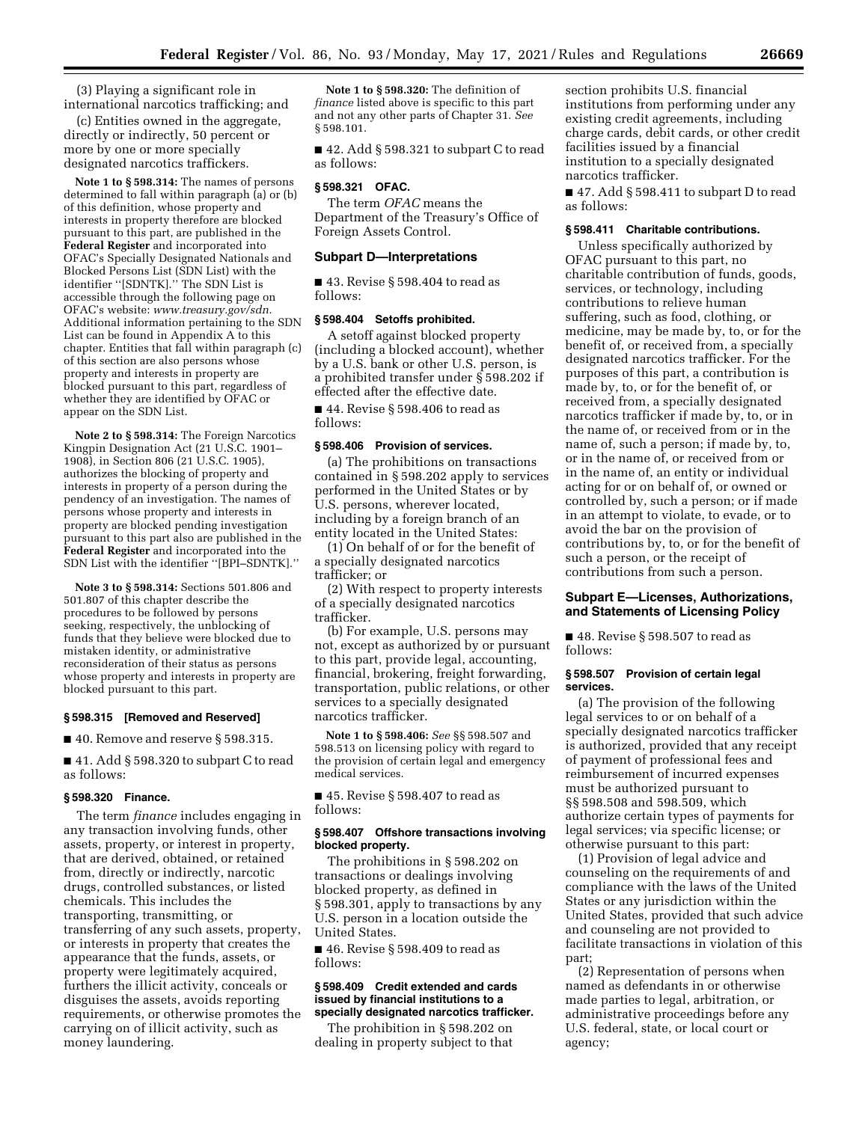(3) Playing a significant role in international narcotics trafficking; and

(c) Entities owned in the aggregate, directly or indirectly, 50 percent or more by one or more specially designated narcotics traffickers.

**Note 1 to § 598.314:** The names of persons determined to fall within paragraph (a) or (b) of this definition, whose property and interests in property therefore are blocked pursuant to this part, are published in the **Federal Register** and incorporated into OFAC's Specially Designated Nationals and Blocked Persons List (SDN List) with the identifier ''[SDNTK].'' The SDN List is accessible through the following page on OFAC's website: *[www.treasury.gov/sdn.](http://www.treasury.gov/sdn)*  Additional information pertaining to the SDN List can be found in Appendix A to this chapter. Entities that fall within paragraph (c) of this section are also persons whose property and interests in property are blocked pursuant to this part, regardless of whether they are identified by OFAC or appear on the SDN List.

**Note 2 to § 598.314:** The Foreign Narcotics Kingpin Designation Act (21 U.S.C. 1901– 1908), in Section 806 (21 U.S.C. 1905), authorizes the blocking of property and interests in property of a person during the pendency of an investigation. The names of persons whose property and interests in property are blocked pending investigation pursuant to this part also are published in the **Federal Register** and incorporated into the SDN List with the identifier ''[BPI–SDNTK].''

**Note 3 to § 598.314:** Sections 501.806 and 501.807 of this chapter describe the procedures to be followed by persons seeking, respectively, the unblocking of funds that they believe were blocked due to mistaken identity, or administrative reconsideration of their status as persons whose property and interests in property are blocked pursuant to this part.

#### **§ 598.315 [Removed and Reserved]**

■ 40. Remove and reserve § 598.315.

■ 41. Add § 598.320 to subpart C to read as follows:

## **§ 598.320 Finance.**

The term *finance* includes engaging in any transaction involving funds, other assets, property, or interest in property, that are derived, obtained, or retained from, directly or indirectly, narcotic drugs, controlled substances, or listed chemicals. This includes the transporting, transmitting, or transferring of any such assets, property, or interests in property that creates the appearance that the funds, assets, or property were legitimately acquired, furthers the illicit activity, conceals or disguises the assets, avoids reporting requirements, or otherwise promotes the carrying on of illicit activity, such as money laundering.

**Note 1 to § 598.320:** The definition of *finance* listed above is specific to this part and not any other parts of Chapter 31. *See*  § 598.101.

■ 42. Add § 598.321 to subpart C to read as follows:

## **§ 598.321 OFAC.**

The term *OFAC* means the Department of the Treasury's Office of Foreign Assets Control.

## **Subpart D—Interpretations**

■ 43. Revise § 598.404 to read as follows:

#### **§ 598.404 Setoffs prohibited.**

A setoff against blocked property (including a blocked account), whether by a U.S. bank or other U.S. person, is a prohibited transfer under § 598.202 if effected after the effective date.

■ 44. Revise § 598.406 to read as follows:

## **§ 598.406 Provision of services.**

(a) The prohibitions on transactions contained in § 598.202 apply to services performed in the United States or by U.S. persons, wherever located, including by a foreign branch of an entity located in the United States:

(1) On behalf of or for the benefit of a specially designated narcotics trafficker; or

(2) With respect to property interests of a specially designated narcotics trafficker.

(b) For example, U.S. persons may not, except as authorized by or pursuant to this part, provide legal, accounting, financial, brokering, freight forwarding, transportation, public relations, or other services to a specially designated narcotics trafficker.

**Note 1 to § 598.406:** *See* §§ 598.507 and 598.513 on licensing policy with regard to the provision of certain legal and emergency medical services.

■ 45. Revise § 598.407 to read as follows:

# **§ 598.407 Offshore transactions involving blocked property.**

The prohibitions in § 598.202 on transactions or dealings involving blocked property, as defined in § 598.301, apply to transactions by any U.S. person in a location outside the United States.

■ 46. Revise § 598.409 to read as follows:

#### **§ 598.409 Credit extended and cards issued by financial institutions to a specially designated narcotics trafficker.**

The prohibition in § 598.202 on dealing in property subject to that

section prohibits U.S. financial institutions from performing under any existing credit agreements, including charge cards, debit cards, or other credit facilities issued by a financial institution to a specially designated narcotics trafficker.

■ 47. Add § 598.411 to subpart D to read as follows:

#### **§ 598.411 Charitable contributions.**

Unless specifically authorized by OFAC pursuant to this part, no charitable contribution of funds, goods, services, or technology, including contributions to relieve human suffering, such as food, clothing, or medicine, may be made by, to, or for the benefit of, or received from, a specially designated narcotics trafficker. For the purposes of this part, a contribution is made by, to, or for the benefit of, or received from, a specially designated narcotics trafficker if made by, to, or in the name of, or received from or in the name of, such a person; if made by, to, or in the name of, or received from or in the name of, an entity or individual acting for or on behalf of, or owned or controlled by, such a person; or if made in an attempt to violate, to evade, or to avoid the bar on the provision of contributions by, to, or for the benefit of such a person, or the receipt of contributions from such a person.

## **Subpart E—Licenses, Authorizations, and Statements of Licensing Policy**

■ 48. Revise § 598.507 to read as follows:

## **§ 598.507 Provision of certain legal services.**

(a) The provision of the following legal services to or on behalf of a specially designated narcotics trafficker is authorized, provided that any receipt of payment of professional fees and reimbursement of incurred expenses must be authorized pursuant to §§ 598.508 and 598.509, which authorize certain types of payments for legal services; via specific license; or otherwise pursuant to this part:

(1) Provision of legal advice and counseling on the requirements of and compliance with the laws of the United States or any jurisdiction within the United States, provided that such advice and counseling are not provided to facilitate transactions in violation of this part;

(2) Representation of persons when named as defendants in or otherwise made parties to legal, arbitration, or administrative proceedings before any U.S. federal, state, or local court or agency;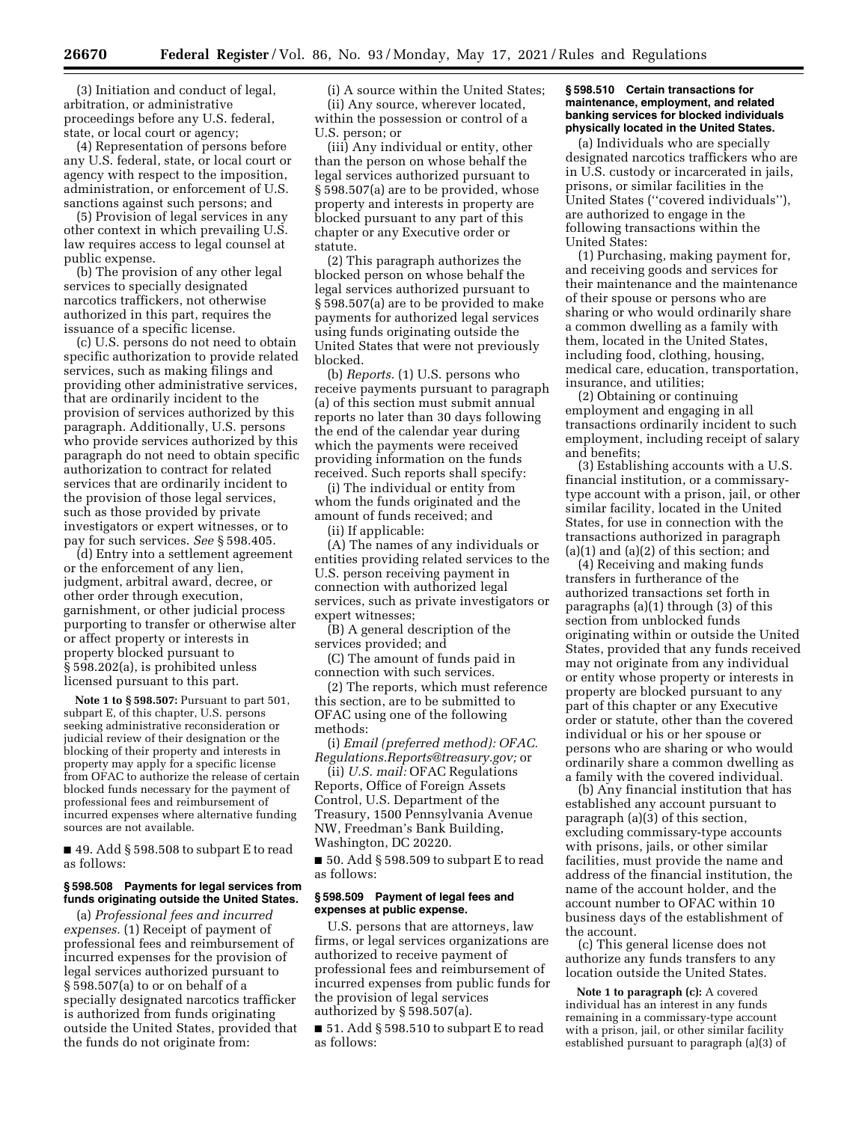(3) Initiation and conduct of legal, arbitration, or administrative proceedings before any U.S. federal, state, or local court or agency;

(4) Representation of persons before any U.S. federal, state, or local court or agency with respect to the imposition, administration, or enforcement of U.S. sanctions against such persons; and

(5) Provision of legal services in any other context in which prevailing U.S. law requires access to legal counsel at public expense.

(b) The provision of any other legal services to specially designated narcotics traffickers, not otherwise authorized in this part, requires the issuance of a specific license.

(c) U.S. persons do not need to obtain specific authorization to provide related services, such as making filings and providing other administrative services, that are ordinarily incident to the provision of services authorized by this paragraph. Additionally, U.S. persons who provide services authorized by this paragraph do not need to obtain specific authorization to contract for related services that are ordinarily incident to the provision of those legal services, such as those provided by private investigators or expert witnesses, or to pay for such services. *See* § 598.405.

(d) Entry into a settlement agreement or the enforcement of any lien, judgment, arbitral award, decree, or other order through execution, garnishment, or other judicial process purporting to transfer or otherwise alter or affect property or interests in property blocked pursuant to § 598.202(a), is prohibited unless licensed pursuant to this part.

**Note 1 to § 598.507:** Pursuant to part 501, subpart E, of this chapter, U.S. persons seeking administrative reconsideration or judicial review of their designation or the blocking of their property and interests in property may apply for a specific license from OFAC to authorize the release of certain blocked funds necessary for the payment of professional fees and reimbursement of incurred expenses where alternative funding sources are not available.

■ 49. Add § 598.508 to subpart E to read as follows:

# **§ 598.508 Payments for legal services from funds originating outside the United States.**

(a) *Professional fees and incurred expenses.* (1) Receipt of payment of professional fees and reimbursement of incurred expenses for the provision of legal services authorized pursuant to § 598.507(a) to or on behalf of a specially designated narcotics trafficker is authorized from funds originating outside the United States, provided that the funds do not originate from:

(i) A source within the United States; (ii) Any source, wherever located, within the possession or control of a U.S. person; or

(iii) Any individual or entity, other than the person on whose behalf the legal services authorized pursuant to § 598.507(a) are to be provided, whose property and interests in property are blocked pursuant to any part of this chapter or any Executive order or statute.

(2) This paragraph authorizes the blocked person on whose behalf the legal services authorized pursuant to § 598.507(a) are to be provided to make payments for authorized legal services using funds originating outside the United States that were not previously blocked.

(b) *Reports.* (1) U.S. persons who receive payments pursuant to paragraph (a) of this section must submit annual reports no later than 30 days following the end of the calendar year during which the payments were received providing information on the funds received. Such reports shall specify:

(i) The individual or entity from whom the funds originated and the amount of funds received; and (ii) If applicable:

(A) The names of any individuals or entities providing related services to the U.S. person receiving payment in connection with authorized legal services, such as private investigators or expert witnesses;

(B) A general description of the services provided; and

(C) The amount of funds paid in connection with such services.

(2) The reports, which must reference this section, are to be submitted to OFAC using one of the following methods:

(i) *Email (preferred method): [OFAC.](mailto:OFAC.Regulations.Reports@treasury.gov) [Regulations.Reports@treasury.gov;](mailto:OFAC.Regulations.Reports@treasury.gov)* or

(ii) *U.S. mail:* OFAC Regulations Reports, Office of Foreign Assets Control, U.S. Department of the Treasury, 1500 Pennsylvania Avenue NW, Freedman's Bank Building, Washington, DC 20220.

 $\blacksquare$  50. Add § 598.509 to subpart E to read as follows:

## **§ 598.509 Payment of legal fees and expenses at public expense.**

U.S. persons that are attorneys, law firms, or legal services organizations are authorized to receive payment of professional fees and reimbursement of incurred expenses from public funds for the provision of legal services authorized by § 598.507(a).

 $\blacksquare$  51. Add § 598.510 to subpart E to read as follows:

## **§ 598.510 Certain transactions for maintenance, employment, and related banking services for blocked individuals physically located in the United States.**

(a) Individuals who are specially designated narcotics traffickers who are in U.S. custody or incarcerated in jails, prisons, or similar facilities in the United States (''covered individuals''), are authorized to engage in the following transactions within the United States:

(1) Purchasing, making payment for, and receiving goods and services for their maintenance and the maintenance of their spouse or persons who are sharing or who would ordinarily share a common dwelling as a family with them, located in the United States, including food, clothing, housing, medical care, education, transportation, insurance, and utilities;

(2) Obtaining or continuing employment and engaging in all transactions ordinarily incident to such employment, including receipt of salary and benefits;

(3) Establishing accounts with a U.S. financial institution, or a commissarytype account with a prison, jail, or other similar facility, located in the United States, for use in connection with the transactions authorized in paragraph (a)(1) and (a)(2) of this section; and

(4) Receiving and making funds transfers in furtherance of the authorized transactions set forth in paragraphs (a)(1) through (3) of this section from unblocked funds originating within or outside the United States, provided that any funds received may not originate from any individual or entity whose property or interests in property are blocked pursuant to any part of this chapter or any Executive order or statute, other than the covered individual or his or her spouse or persons who are sharing or who would ordinarily share a common dwelling as a family with the covered individual.

(b) Any financial institution that has established any account pursuant to paragraph (a)(3) of this section, excluding commissary-type accounts with prisons, jails, or other similar facilities, must provide the name and address of the financial institution, the name of the account holder, and the account number to OFAC within 10 business days of the establishment of the account.

(c) This general license does not authorize any funds transfers to any location outside the United States.

**Note 1 to paragraph (c):** A covered individual has an interest in any funds remaining in a commissary-type account with a prison, jail, or other similar facility established pursuant to paragraph (a)(3) of